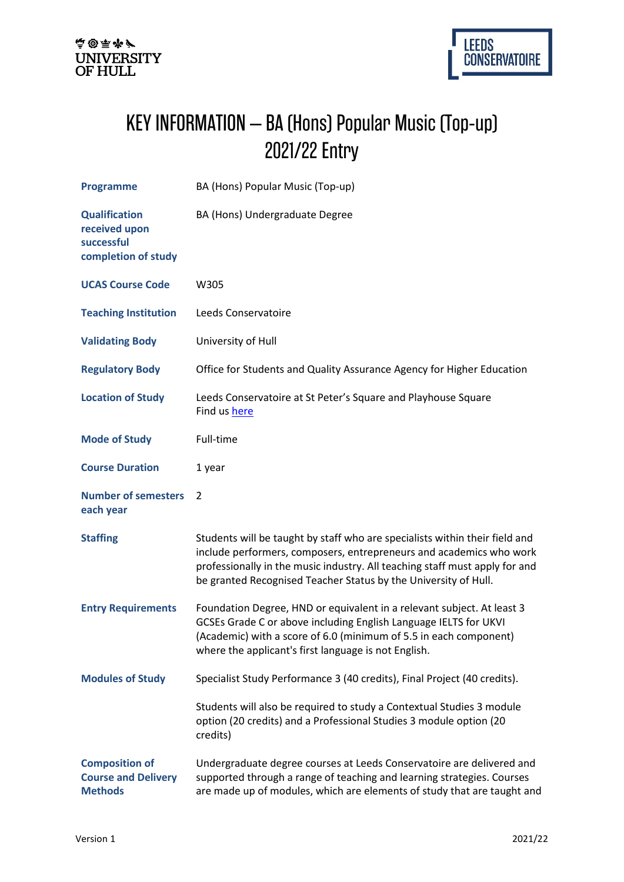## KEY INFORMATION – BA (Hons) Popular Music (Top-up) 2021/22 Entry

| <b>Programme</b>                                                           | BA (Hons) Popular Music (Top-up)                                                                                                                                                                                                                                                                     |
|----------------------------------------------------------------------------|------------------------------------------------------------------------------------------------------------------------------------------------------------------------------------------------------------------------------------------------------------------------------------------------------|
| <b>Qualification</b><br>received upon<br>successful<br>completion of study | BA (Hons) Undergraduate Degree                                                                                                                                                                                                                                                                       |
| <b>UCAS Course Code</b>                                                    | W305                                                                                                                                                                                                                                                                                                 |
| <b>Teaching Institution</b>                                                | Leeds Conservatoire                                                                                                                                                                                                                                                                                  |
| <b>Validating Body</b>                                                     | University of Hull                                                                                                                                                                                                                                                                                   |
| <b>Regulatory Body</b>                                                     | Office for Students and Quality Assurance Agency for Higher Education                                                                                                                                                                                                                                |
| <b>Location of Study</b>                                                   | Leeds Conservatoire at St Peter's Square and Playhouse Square<br>Find us here                                                                                                                                                                                                                        |
| <b>Mode of Study</b>                                                       | Full-time                                                                                                                                                                                                                                                                                            |
| <b>Course Duration</b>                                                     | 1 year                                                                                                                                                                                                                                                                                               |
| <b>Number of semesters</b><br>each year                                    | 2                                                                                                                                                                                                                                                                                                    |
| <b>Staffing</b>                                                            | Students will be taught by staff who are specialists within their field and<br>include performers, composers, entrepreneurs and academics who work<br>professionally in the music industry. All teaching staff must apply for and<br>be granted Recognised Teacher Status by the University of Hull. |
| <b>Entry Requirements</b>                                                  | Foundation Degree, HND or equivalent in a relevant subject. At least 3<br>GCSEs Grade C or above including English Language IELTS for UKVI<br>(Academic) with a score of 6.0 (minimum of 5.5 in each component)<br>where the applicant's first language is not English.                              |
| <b>Modules of Study</b>                                                    | Specialist Study Performance 3 (40 credits), Final Project (40 credits).                                                                                                                                                                                                                             |
|                                                                            | Students will also be required to study a Contextual Studies 3 module<br>option (20 credits) and a Professional Studies 3 module option (20<br>credits)                                                                                                                                              |
| <b>Composition of</b><br><b>Course and Delivery</b><br><b>Methods</b>      | Undergraduate degree courses at Leeds Conservatoire are delivered and<br>supported through a range of teaching and learning strategies. Courses<br>are made up of modules, which are elements of study that are taught and                                                                           |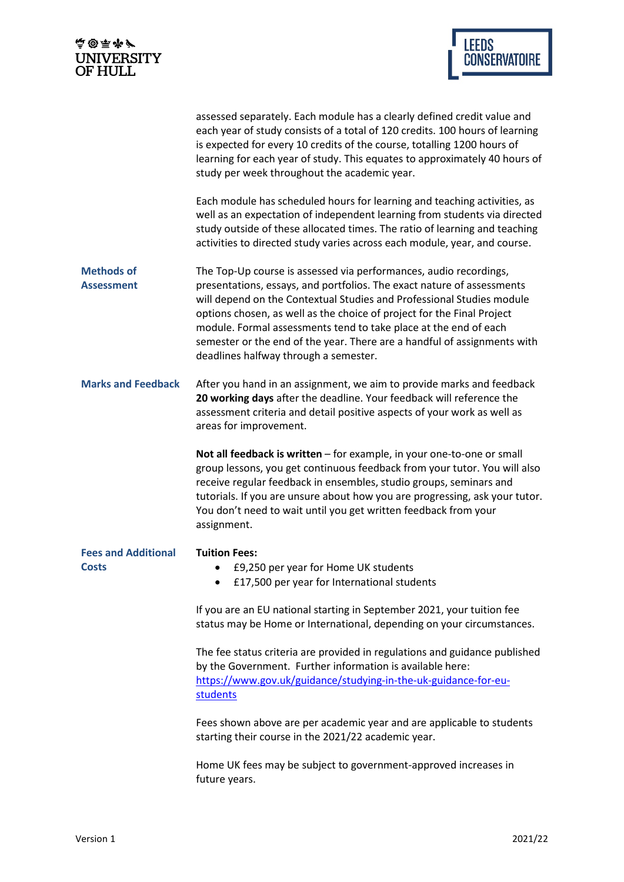| 点@雨水/<br><b>UNIVERSITY</b><br>OF HULL      | LEEDS<br>CONSERVATOIRE                                                                                                                                                                                                                                                                                                                                                                                                                                                                  |
|--------------------------------------------|-----------------------------------------------------------------------------------------------------------------------------------------------------------------------------------------------------------------------------------------------------------------------------------------------------------------------------------------------------------------------------------------------------------------------------------------------------------------------------------------|
|                                            |                                                                                                                                                                                                                                                                                                                                                                                                                                                                                         |
|                                            | assessed separately. Each module has a clearly defined credit value and<br>each year of study consists of a total of 120 credits. 100 hours of learning<br>is expected for every 10 credits of the course, totalling 1200 hours of<br>learning for each year of study. This equates to approximately 40 hours of<br>study per week throughout the academic year.                                                                                                                        |
|                                            | Each module has scheduled hours for learning and teaching activities, as<br>well as an expectation of independent learning from students via directed<br>study outside of these allocated times. The ratio of learning and teaching<br>activities to directed study varies across each module, year, and course.                                                                                                                                                                        |
| <b>Methods of</b><br><b>Assessment</b>     | The Top-Up course is assessed via performances, audio recordings,<br>presentations, essays, and portfolios. The exact nature of assessments<br>will depend on the Contextual Studies and Professional Studies module<br>options chosen, as well as the choice of project for the Final Project<br>module. Formal assessments tend to take place at the end of each<br>semester or the end of the year. There are a handful of assignments with<br>deadlines halfway through a semester. |
| <b>Marks and Feedback</b>                  | After you hand in an assignment, we aim to provide marks and feedback<br>20 working days after the deadline. Your feedback will reference the<br>assessment criteria and detail positive aspects of your work as well as<br>areas for improvement.                                                                                                                                                                                                                                      |
|                                            | Not all feedback is written - for example, in your one-to-one or small<br>group lessons, you get continuous feedback from your tutor. You will also<br>receive regular feedback in ensembles, studio groups, seminars and<br>tutorials. If you are unsure about how you are progressing, ask your tutor.<br>You don't need to wait until you get written feedback from your<br>assignment.                                                                                              |
| <b>Fees and Additional</b><br><b>Costs</b> | <b>Tuition Fees:</b><br>£9,250 per year for Home UK students<br>£17,500 per year for International students                                                                                                                                                                                                                                                                                                                                                                             |
|                                            | If you are an EU national starting in September 2021, your tuition fee<br>status may be Home or International, depending on your circumstances.                                                                                                                                                                                                                                                                                                                                         |
|                                            | The fee status criteria are provided in regulations and guidance published<br>by the Government. Further information is available here:<br>https://www.gov.uk/guidance/studying-in-the-uk-guidance-for-eu-<br>students                                                                                                                                                                                                                                                                  |
|                                            | Fees shown above are per academic year and are applicable to students<br>starting their course in the 2021/22 academic year.                                                                                                                                                                                                                                                                                                                                                            |
|                                            | Home UK fees may be subject to government-approved increases in<br>future years.                                                                                                                                                                                                                                                                                                                                                                                                        |